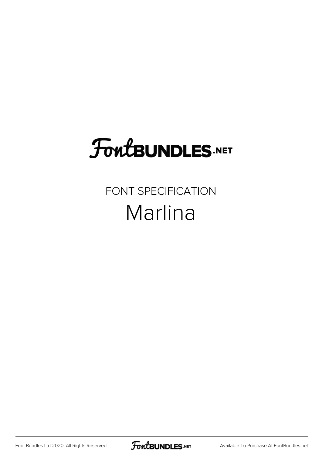## **FoutBUNDLES.NET**

## FONT SPECIFICATION Marlina

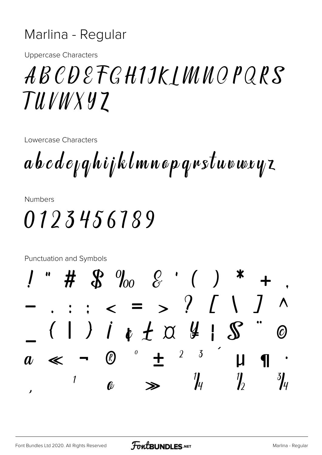## Marlina - Regular

**Uppercase Characters** 

## ABCDEFGHIJKJMNOPQRS TUVWXYZ

Lowercase Characters

 $a\,b\,c\,d\,e$ <sub>k</sub> $q$ hijklmnop $q$ rstuvwryz

**Numbers** 

0123456189

Punctuation and Symbols

 $\#$   $\frac{1}{60}$   $\frac{1}{60}$   $\frac{1}{60}$   $\frac{1}{60}$   $\frac{1}{60}$   $\frac{1}{60}$   $\frac{1}{60}$   $\frac{1}{60}$   $\frac{1}{60}$   $\frac{1}{60}$   $\frac{1}{60}$   $\frac{1}{60}$   $\frac{1}{60}$   $\frac{1}{60}$   $\frac{1}{60}$   $\frac{1}{60}$   $\frac{1}{60}$   $\frac{1}{60}$   $\frac{1}{60}$   $\frac{1}{6$  $\epsilon = \frac{1}{2}$  / [ \]  $\boldsymbol{\wedge}$ (1) i + + a 4 | S  $\bm{\mathcal{O}}$  $\delta$  $\overline{2}$  $\pmb{o}$  $\bigcirc$  $\div$  $\mathsf{u}$ 1  $\eta$  $\frac{3}{4}$  $\frac{\eta}{4}$  $\boldsymbol{\eta}$  $\ell$ J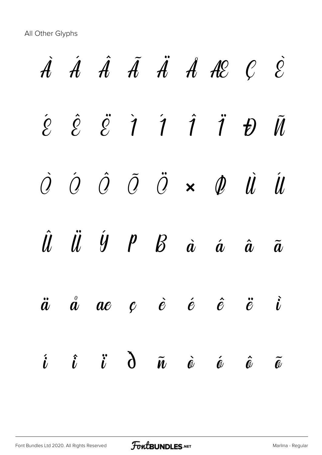All Other Glyphs

|  |  |  | $\dot{A}$ $\dot{A}$ $\dot{A}$ $\ddot{A}$ $\ddot{A}$ $\dot{A}$ $\dot{A}$ $\dot{B}$ $C$ $\dot{C}$                                                                               |  |
|--|--|--|-------------------------------------------------------------------------------------------------------------------------------------------------------------------------------|--|
|  |  |  | $\begin{array}{ccc} \hat{e} & \hat{e} & \ddot{e} & \dot{1} & \dot{1} & \dot{1} & \dot{1} & \dot{1} & \tilde{1} \end{array}$                                                   |  |
|  |  |  | $\begin{array}{ccccccccccccc}\n\hat{O} & \hat{O} & \hat{O} & \hat{O} & \times & \hat{O} & \hat{O} & \hat{U} & \hat{U}\n\end{array}$                                           |  |
|  |  |  | $\hat{u}$ $\ddot{u}$ $\dot{y}$ $p$ $g$ $\dot{a}$ $\dot{a}$ $\ddot{a}$ $\ddot{a}$                                                                                              |  |
|  |  |  | $\ddot{a}$ $\dot{a}$ $ae$ $c$ $\dot{e}$ $\dot{e}$ $\dot{e}$ $\ddot{e}$ $\ddot{e}$                                                                                             |  |
|  |  |  | $\begin{array}{ccccc} \hat{\imath} & \hat{\imath} & \hat{\imath} & \hat{\partial} & \tilde{\imath} & \hat{\omega} & \hat{\omega} & \hat{\omega} & \tilde{\omega} \end{array}$ |  |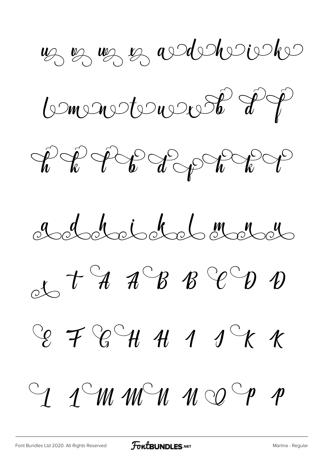uz uz uz audulousko

Conventement d'ép

 $\textit{if } \textit{if } \textit{if } \textit{if } \textit{if } \textit{if } \textit{if } \textit{if } \textit{if } \textit{if } \textit{if} \textit{if } \textit{if } \textit{if } \textit{if } \textit{if } \textit{if } \textit{if } \textit{if } \textit{if } \textit{if } \textit{if } \textit{if } \textit{if } \textit{if } \textit{if } \textit{if } \textit{if } \textit{if } \textit{if } \textit{if } \textit{if } \textit{if } \textit{if } \textit{if } \textit{if } \textit{$ 

a de tot de de 101

 $25$  t  $4$   $4^{\circ}$   $8$   $8^{\circ}$   $9$   $9$ 

 $C_{\ell}$   $\neq C_{\ell}C_{\ell}$   $\neq$   $A$   $\rightarrow$   $C_{\ell}$   $\neq$ 

 $C_1$  1 M M M M O  $^C$  p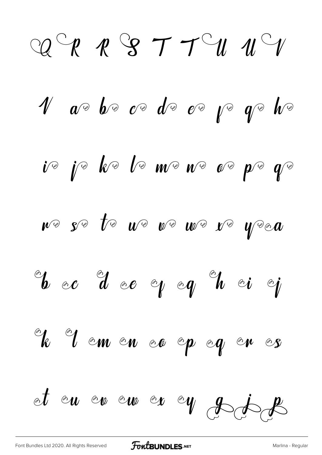$\bigcirc Q \bigcirc P \quad P \bigcirc S \quad T \quad T \bigcirc U \quad U \bigcirc V$  $\psi$  are be controlled by the second of the second structure  $\psi$  $\begin{array}{cc} i\circ&j\circ&k\circ&l\circ&m\circ&n\circ&o\circ&p\circ&q\circ \end{array}$  $W^{\scriptscriptstyle\odot}$  se te  $W^{\scriptscriptstyle\odot}$  ve we ve year  $^{\circ\!\!}t$  oc d oe y og  $^{\circ\!\!}t$  oi i Le demender op og en es et en en en er ey pote